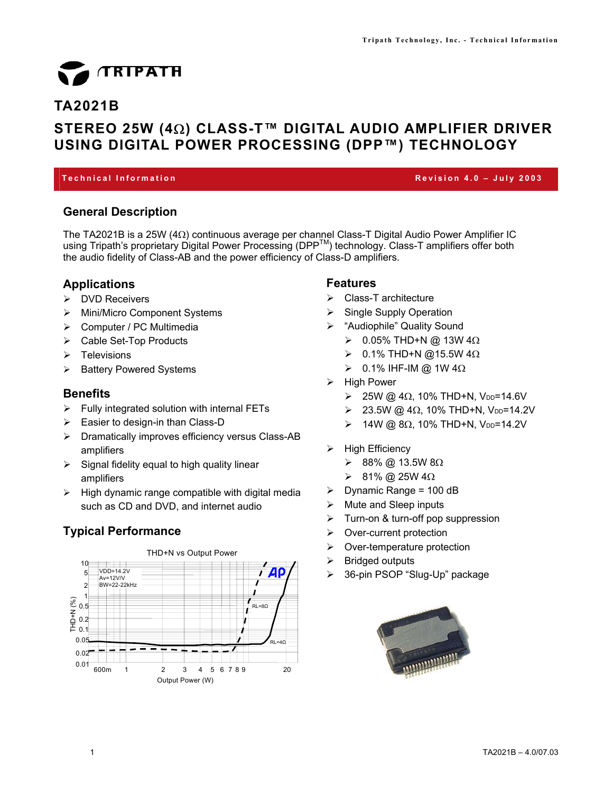# TRIPATH

# **TA2021B**

# **STEREO 25W (4**Ω**) CLASS-T™ DIGITAL AUDIO AMPLIFIER DRIVER USING DIGITAL POWER PROCESSING (DPP™) TECHNOLOGY**

#### **Technical Information Revision 4.0 – July 2003**

# **General Description**

The TA2021B is a 25W (4Ω) continuous average per channel Class-T Digital Audio Power Amplifier IC using Tripath's proprietary Digital Power Processing (DPP™) technology. Class-T amplifiers offer both the audio fidelity of Class-AB and the power efficiency of Class-D amplifiers.

# **Applications**

- ¾ DVD Receivers
- ¾ Mini/Micro Component Systems
- ¾ Computer / PC Multimedia
- $\triangleright$  Cable Set-Top Products
- $\triangleright$  Televisions
- ¾ Battery Powered Systems

# **Benefits**

- $\triangleright$  Fully integrated solution with internal FETs
- $\triangleright$  Easier to design-in than Class-D
- ¾ Dramatically improves efficiency versus Class-AB amplifiers
- $\triangleright$  Signal fidelity equal to high quality linear amplifiers
- $\triangleright$  High dynamic range compatible with digital media such as CD and DVD, and internet audio

# **Typical Performance**



# **Features**

- $\triangleright$  Class-T architecture
- $\triangleright$  Single Supply Operation
- ¾ "Audiophile" Quality Sound
	- $≥$  0.05% THD+N @ 13W 4Ω
	- $≥$  0.1% THD+N @15.5W 4Ω
	- $\geqslant$  0.1% IHF-IM @ 1W 4Ω
- $\triangleright$  High Power
	- $≥$  25W @ 4Ω, 10% THD+N, V<sub>DD</sub>=14.6V
	- $≥$  23.5W @ 4Ω, 10% THD+N, V<sub>DD</sub>=14.2V
	- $≥ 14W @ 8Ω, 10% THD+N, V<sub>DD</sub>=14.2V$
- $\triangleright$  High Efficiency
	- ¾ 88% @ 13.5W 8Ω
	- ¾ 81% @ 25W 4Ω
- $\triangleright$  Dynamic Range = 100 dB
- $\triangleright$  Mute and Sleep inputs
- $\triangleright$  Turn-on & turn-off pop suppression
- $\triangleright$  Over-current protection
- $\triangleright$  Over-temperature protection
- $\triangleright$  Bridged outputs
- ¾ 36-pin PSOP "Slug-Up" package

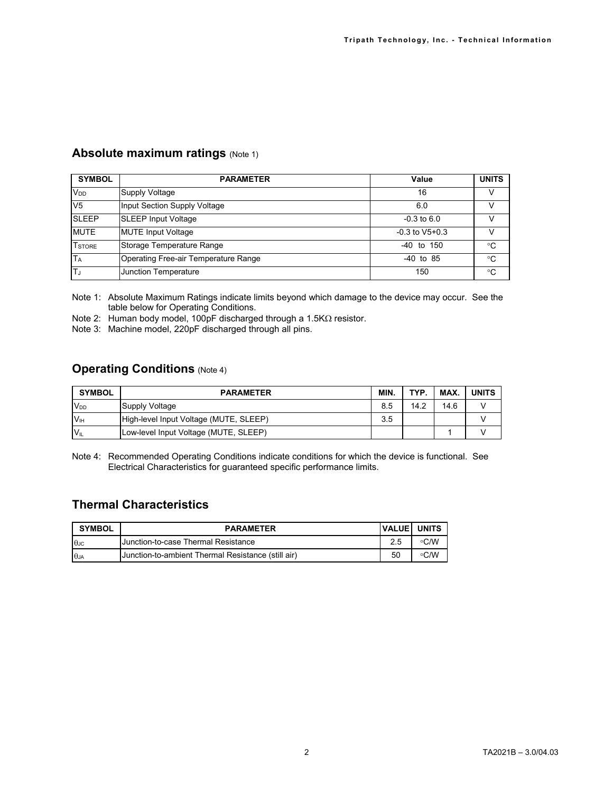# **Absolute maximum ratings (Note 1)**

| <b>SYMBOL</b>   | <b>PARAMETER</b>                     | Value              | <b>UNITS</b> |
|-----------------|--------------------------------------|--------------------|--------------|
| V <sub>DD</sub> | Supply Voltage                       | 16                 | v            |
| V <sub>5</sub>  | Input Section Supply Voltage         | 6.0                | v            |
| <b>SLEEP</b>    | <b>SLEEP Input Voltage</b>           | $-0.3$ to 6.0      |              |
| <b>MUTE</b>     | <b>MUTE Input Voltage</b>            | $-0.3$ to $V5+0.3$ |              |
| <b>T</b> STORE  | Storage Temperature Range            | -40 to 150         | $^{\circ}C$  |
| <b>TA</b>       | Operating Free-air Temperature Range | $-40$ to 85        | ∘C           |
| İΤ,             | <b>Junction Temperature</b>          | 150                | $^{\circ}C$  |

Note 1: Absolute Maximum Ratings indicate limits beyond which damage to the device may occur. See the table below for Operating Conditions.

Note 2: Human body model, 100pF discharged through a 1.5KΩ resistor.

Note 3: Machine model, 220pF discharged through all pins.

# **Operating Conditions** (Note 4)

| <b>SYMBOL</b>   | <b>PARAMETER</b>                       | MIN. | TYP. | MAX. | <b>UNITS</b> |
|-----------------|----------------------------------------|------|------|------|--------------|
| $V_{DD}$        | <b>Supply Voltage</b>                  | 8.5  | 14.2 | 14.6 |              |
| $V_{\text{H}}$  | High-level Input Voltage (MUTE, SLEEP) | 3.5  |      |      |              |
| $V_{\parallel}$ | Low-level Input Voltage (MUTE, SLEEP)  |      |      |      |              |

Note 4: Recommended Operating Conditions indicate conditions for which the device is functional. See Electrical Characteristics for guaranteed specific performance limits.

# **Thermal Characteristics**

| <b>SYMBOL</b> | <b>PARAMETER</b>                                   | <b>IVALUEI</b> | <b>UNITS</b> |
|---------------|----------------------------------------------------|----------------|--------------|
| $\theta$ JC   | <b>Junction-to-case Thermal Resistance</b>         |                | $\circ$ C/W  |
| $\theta$ JA   | Junction-to-ambient Thermal Resistance (still air) | 50             | $\circ$ C/W  |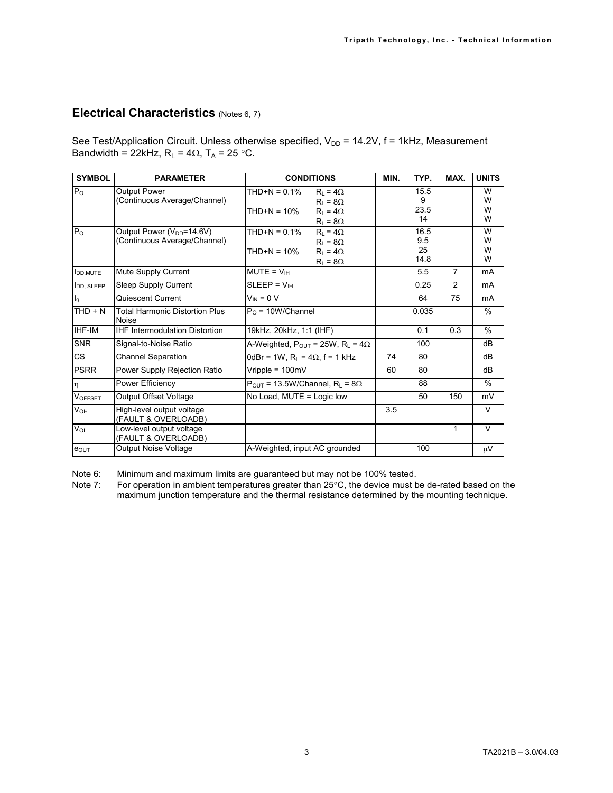# **Electrical Characteristics** (Notes 6, 7)

See Test/Application Circuit. Unless otherwise specified,  $V_{DD}$  = 14.2V, f = 1kHz, Measurement Bandwidth = 22kHz,  $R_L = 4\Omega$ ,  $T_A = 25 \text{ °C}$ .

| <b>SYMBOL</b>         | <b>PARAMETER</b>                                                 | <b>CONDITIONS</b>                                                                                                              | MIN. | TYP.                            | MAX.           | <b>UNITS</b>          |
|-----------------------|------------------------------------------------------------------|--------------------------------------------------------------------------------------------------------------------------------|------|---------------------------------|----------------|-----------------------|
| P <sub>o</sub>        | <b>Output Power</b><br>(Continuous Average/Channel)              | $THD+N = 0.1%$<br>$R_1 = 4\Omega$<br>$R_1 = 8\Omega$<br>$THD+N = 10%$<br>$R_1 = 4\Omega$                                       |      | 15.5<br>9<br>23.5               |                | W<br>W<br>W           |
| $P_{O}$               | Output Power $(V_{DD} = 14.6 V)$<br>(Continuous Average/Channel) | $R_L = 8\Omega$<br>$THD+N = 0.1%$<br>$R_1 = 4\Omega$<br>$R_L = 8\Omega$<br>$THD+N = 10%$<br>$R_1 = 4\Omega$<br>$R_L = 8\Omega$ |      | 14<br>16.5<br>9.5<br>25<br>14.8 |                | W<br>W<br>W<br>W<br>W |
| <b>I</b> DD.MUTE      | Mute Supply Current                                              | $MUTE = VIH$                                                                                                                   |      | 5.5                             | $\overline{7}$ | mA                    |
| <b>I</b> DD, SLEEP    | Sleep Supply Current                                             | $SLEEP = VIH$                                                                                                                  |      | 0.25                            | 2              | m <sub>A</sub>        |
| $I_q$                 | Quiescent Current                                                | $V_{IN} = 0 V$                                                                                                                 |      | 64                              | 75             | mA                    |
| $THD + N$             | <b>Total Harmonic Distortion Plus</b><br>Noise                   | $PO$ = 10W/Channel                                                                                                             |      | 0.035                           |                | $\%$                  |
| IHF-IM                | <b>IHF Intermodulation Distortion</b>                            | 19kHz, 20kHz, 1:1 (IHF)                                                                                                        |      | 0.1                             | 0.3            | $\%$                  |
| <b>SNR</b>            | Signal-to-Noise Ratio                                            | A-Weighted, $P_{OUT} = 25W$ , $R_L = 4\Omega$                                                                                  |      | 100                             |                | dB                    |
| CS                    | <b>Channel Separation</b>                                        | 0dBr = 1W, $R_L$ = 4 $\Omega$ , f = 1 kHz                                                                                      | 74   | 80                              |                | dB                    |
| <b>PSRR</b>           | Power Supply Rejection Ratio                                     | Vripple = $100mV$                                                                                                              | 60   | 80                              |                | dB                    |
| $\eta$                | Power Efficiency                                                 | $P_{OUT}$ = 13.5W/Channel, R <sub>1</sub> = 8 $\Omega$                                                                         |      | 88                              |                | $\%$                  |
| <b>VOFFSET</b>        | Output Offset Voltage                                            | No Load, MUTE = Logic low                                                                                                      |      | 50                              | 150            | mV                    |
| <b>V<sub>OH</sub></b> | High-level output voltage<br>(FAULT & OVERLOADB)                 |                                                                                                                                | 3.5  |                                 |                | $\vee$                |
| $V_{OL}$              | Low-level output voltage<br>(FAULT & OVERLOADB)                  |                                                                                                                                |      |                                 | 1              | $\vee$                |
| POUT                  | Output Noise Voltage                                             | A-Weighted, input AC grounded                                                                                                  |      | 100                             |                | μV                    |

Note 6: Minimum and maximum limits are guaranteed but may not be 100% tested.<br>Note 7: For operation in ambient temperatures greater than 25°C, the device must b

For operation in ambient temperatures greater than 25°C, the device must be de-rated based on the maximum junction temperature and the thermal resistance determined by the mounting technique.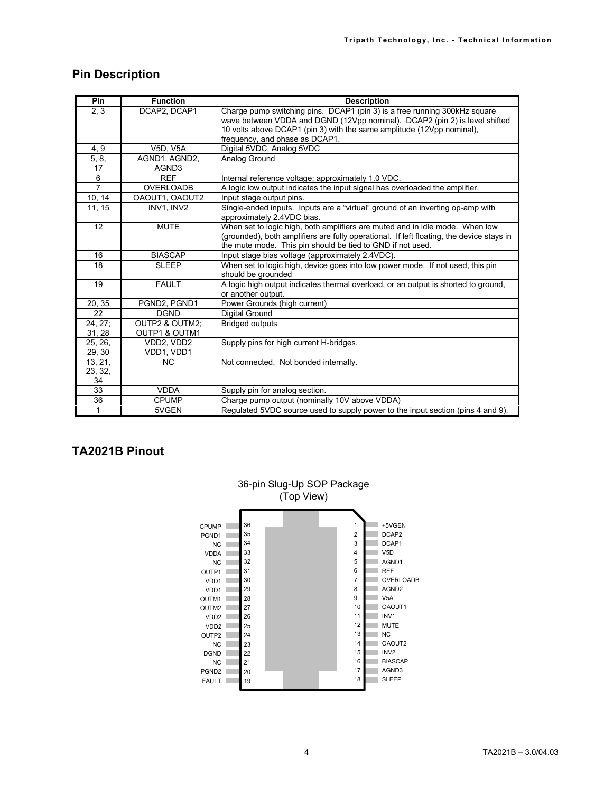# **Pin Description**

| Pin            | <b>Function</b>        | <b>Description</b>                                                                                       |
|----------------|------------------------|----------------------------------------------------------------------------------------------------------|
| 2, 3           | DCAP2, DCAP1           | Charge pump switching pins. DCAP1 (pin 3) is a free running 300kHz square                                |
|                |                        | wave between VDDA and DGND (12Vpp nominal). DCAP2 (pin 2) is level shifted                               |
|                |                        | 10 volts above DCAP1 (pin 3) with the same amplitude (12Vpp nominal),                                    |
|                |                        | frequency, and phase as DCAP1.                                                                           |
| 4, 9           | <b>V5D, V5A</b>        | Digital 5VDC, Analog 5VDC                                                                                |
| 5, 8,<br>17    | AGND1, AGND2,<br>AGND3 | Analog Ground                                                                                            |
| 6              | <b>REF</b>             | Internal reference voltage; approximately 1.0 VDC.                                                       |
| $\overline{7}$ | <b>OVERLOADB</b>       | A logic low output indicates the input signal has overloaded the amplifier.                              |
| 10, 14         | OAOUT1, OAOUT2         | Input stage output pins.                                                                                 |
| 11, 15         | INV1. INV2             | Single-ended inputs. Inputs are a "virtual" ground of an inverting op-amp with                           |
|                |                        | approximately 2.4VDC bias.                                                                               |
| 12             | <b>MUTE</b>            | When set to logic high, both amplifiers are muted and in idle mode. When low                             |
|                |                        | (grounded), both amplifiers are fully operational. If left floating, the device stays in                 |
|                |                        | the mute mode. This pin should be tied to GND if not used.                                               |
| 16             | <b>BIASCAP</b>         | Input stage bias voltage (approximately 2.4VDC).                                                         |
| 18             | <b>SLEEP</b>           | When set to logic high, device goes into low power mode. If not used, this pin                           |
|                |                        | should be grounded                                                                                       |
| 19             | <b>FAULT</b>           | A logic high output indicates thermal overload, or an output is shorted to ground,<br>or another output. |
| 20, 35         | PGND2, PGND1           | Power Grounds (high current)                                                                             |
| 22             | <b>DGND</b>            | Digital Ground                                                                                           |
| $24, 27$ ;     | OUTP2 & OUTM2;         | <b>Bridged outputs</b>                                                                                   |
| 31, 28         | OUTP1 & OUTM1          |                                                                                                          |
| 25, 26,        | VDD2, VDD2             | Supply pins for high current H-bridges.                                                                  |
| 29, 30         | VDD1, VDD1             |                                                                                                          |
| 13, 21,        | <b>NC</b>              | Not connected. Not bonded internally.                                                                    |
| 23, 32,        |                        |                                                                                                          |
| 34             |                        |                                                                                                          |
| 33             | <b>VDDA</b>            | Supply pin for analog section.                                                                           |
| 36             | <b>CPUMP</b>           | Charge pump output (nominally 10V above VDDA)                                                            |
| $\mathbf{1}$   | 5VGEN                  | Regulated 5VDC source used to supply power to the input section (pins 4 and 9).                          |

# **TA2021B Pinout**

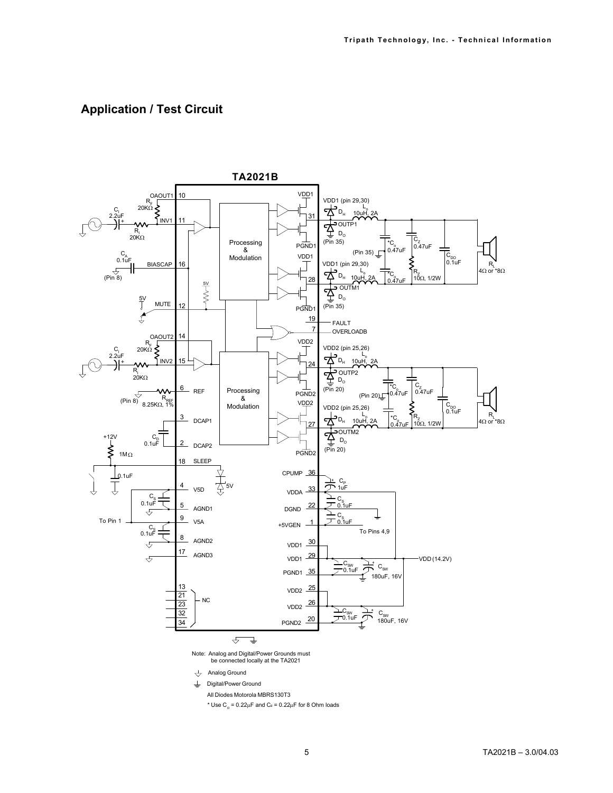# **Application / Test Circuit**

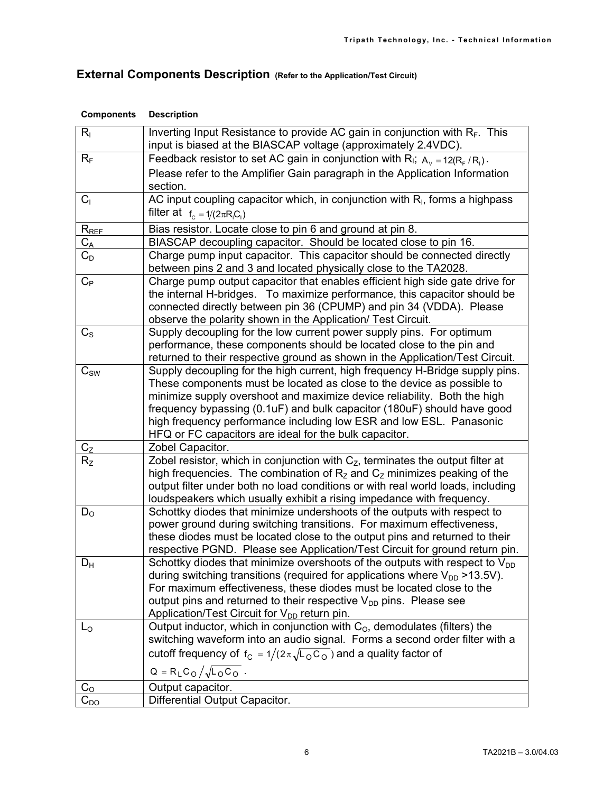# **External Components Description (Refer to the Application/Test Circuit)**

| $R_{\rm I}$        | Inverting Input Resistance to provide AC gain in conjunction with $R_F$ . This<br>input is biased at the BIASCAP voltage (approximately 2.4VDC).                    |  |  |
|--------------------|---------------------------------------------------------------------------------------------------------------------------------------------------------------------|--|--|
| $R_F$              | Feedback resistor to set AC gain in conjunction with R <sub>I</sub> ; $A_v = 12(R_F/R_i)$ .                                                                         |  |  |
|                    | Please refer to the Amplifier Gain paragraph in the Application Information                                                                                         |  |  |
|                    | section.                                                                                                                                                            |  |  |
| C <sub>1</sub>     | AC input coupling capacitor which, in conjunction with $R1$ , forms a highpass                                                                                      |  |  |
|                    | filter at $f_c = 1/(2\pi R_1 C_1)$                                                                                                                                  |  |  |
| $R_{REF}$          | Bias resistor. Locate close to pin 6 and ground at pin 8.                                                                                                           |  |  |
| $C_A$              | BIASCAP decoupling capacitor. Should be located close to pin 16.                                                                                                    |  |  |
| $C_D$              | Charge pump input capacitor. This capacitor should be connected directly                                                                                            |  |  |
|                    | between pins 2 and 3 and located physically close to the TA2028.                                                                                                    |  |  |
| $C_{P}$            | Charge pump output capacitor that enables efficient high side gate drive for                                                                                        |  |  |
|                    | the internal H-bridges. To maximize performance, this capacitor should be                                                                                           |  |  |
|                    | connected directly between pin 36 (CPUMP) and pin 34 (VDDA). Please<br>observe the polarity shown in the Application/ Test Circuit.                                 |  |  |
| $C_{\rm S}$        | Supply decoupling for the low current power supply pins. For optimum                                                                                                |  |  |
|                    | performance, these components should be located close to the pin and                                                                                                |  |  |
|                    | returned to their respective ground as shown in the Application/Test Circuit.                                                                                       |  |  |
| $C_{SW}$           | Supply decoupling for the high current, high frequency H-Bridge supply pins.                                                                                        |  |  |
|                    | These components must be located as close to the device as possible to                                                                                              |  |  |
|                    | minimize supply overshoot and maximize device reliability. Both the high                                                                                            |  |  |
|                    | frequency bypassing (0.1uF) and bulk capacitor (180uF) should have good                                                                                             |  |  |
|                    | high frequency performance including low ESR and low ESL. Panasonic                                                                                                 |  |  |
|                    | HFQ or FC capacitors are ideal for the bulk capacitor.<br>Zobel Capacitor.                                                                                          |  |  |
| $C_{Z}$<br>$R_{Z}$ | Zobel resistor, which in conjunction with $C_z$ , terminates the output filter at                                                                                   |  |  |
|                    | high frequencies. The combination of $R_z$ and $C_z$ minimizes peaking of the                                                                                       |  |  |
|                    | output filter under both no load conditions or with real world loads, including                                                                                     |  |  |
|                    | loudspeakers which usually exhibit a rising impedance with frequency.                                                                                               |  |  |
| $D_{\rm O}$        | Schottky diodes that minimize undershoots of the outputs with respect to                                                                                            |  |  |
|                    | power ground during switching transitions. For maximum effectiveness,                                                                                               |  |  |
|                    | these diodes must be located close to the output pins and returned to their                                                                                         |  |  |
|                    | respective PGND. Please see Application/Test Circuit for ground return pin.                                                                                         |  |  |
| $D_H$              | Schottky diodes that minimize overshoots of the outputs with respect to $V_{DD}$<br>during switching transitions (required for applications where $V_{DD}$ >13.5V). |  |  |
|                    | For maximum effectiveness, these diodes must be located close to the                                                                                                |  |  |
|                    | output pins and returned to their respective $V_{DD}$ pins. Please see                                                                                              |  |  |
|                    | Application/Test Circuit for V <sub>DD</sub> return pin.                                                                                                            |  |  |
| $L_0$              | Output inductor, which in conjunction with C <sub>o</sub> , demodulates (filters) the                                                                               |  |  |
|                    | switching waveform into an audio signal. Forms a second order filter with a                                                                                         |  |  |
|                    | cutoff frequency of $f_C = 1/(2\pi\sqrt{L_0 C_0})$ and a quality factor of                                                                                          |  |  |
|                    | $Q = R_L C_0 / \sqrt{L_0 C_0}$ .                                                                                                                                    |  |  |
| $C_{\rm O}$        | Output capacitor.                                                                                                                                                   |  |  |
| $C_{DO}$           | Differential Output Capacitor.                                                                                                                                      |  |  |

#### **Components Description**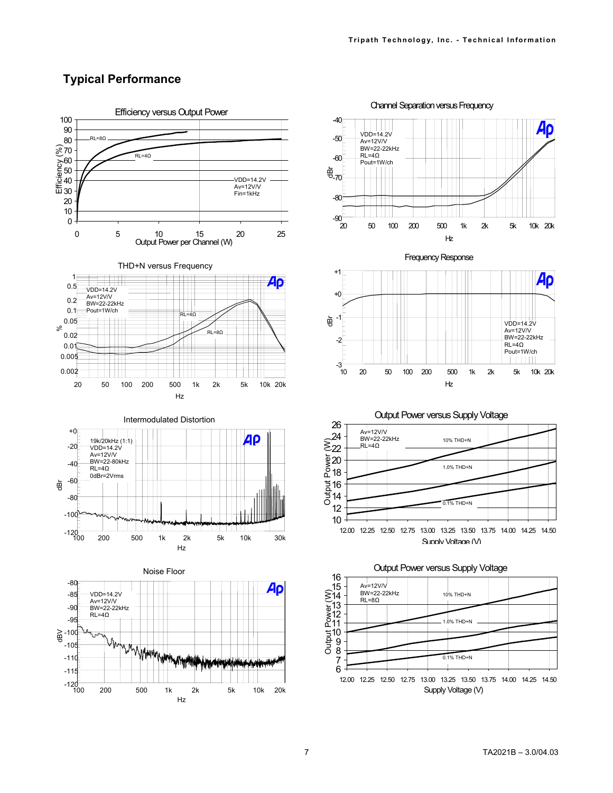# **Typical Performance**



 $VDD=14.2V$ Av=12V/V BW=22-22kHz  $RL = 4Ω$ Pout=1W/ch<br>| | | | | | |

r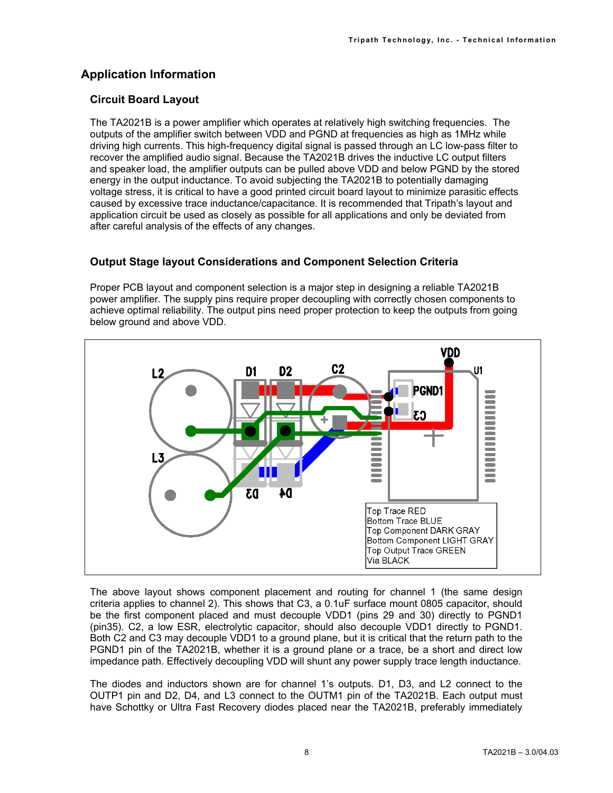# **Application Information**

## **Circuit Board Layout**

The TA2021B is a power amplifier which operates at relatively high switching frequencies. The outputs of the amplifier switch between VDD and PGND at frequencies as high as 1MHz while driving high currents. This high-frequency digital signal is passed through an LC low-pass filter to recover the amplified audio signal. Because the TA2021B drives the inductive LC output filters and speaker load, the amplifier outputs can be pulled above VDD and below PGND by the stored energy in the output inductance. To avoid subjecting the TA2021B to potentially damaging voltage stress, it is critical to have a good printed circuit board layout to minimize parasitic effects caused by excessive trace inductance/capacitance. It is recommended that Tripath's layout and application circuit be used as closely as possible for all applications and only be deviated from after careful analysis of the effects of any changes.

# **Output Stage layout Considerations and Component Selection Criteria**

Proper PCB layout and component selection is a major step in designing a reliable TA2021B power amplifier. The supply pins require proper decoupling with correctly chosen components to achieve optimal reliability. The output pins need proper protection to keep the outputs from going below ground and above VDD.



The above layout shows component placement and routing for channel 1 (the same design criteria applies to channel 2). This shows that C3, a 0.1uF surface mount 0805 capacitor, should be the first component placed and must decouple VDD1 (pins 29 and 30) directly to PGND1 (pin35). C2, a low ESR, electrolytic capacitor, should also decouple VDD1 directly to PGND1. Both C2 and C3 may decouple VDD1 to a ground plane, but it is critical that the return path to the PGND1 pin of the TA2021B, whether it is a ground plane or a trace, be a short and direct low impedance path. Effectively decoupling VDD will shunt any power supply trace length inductance.

The diodes and inductors shown are for channel 1's outputs. D1, D3, and L2 connect to the OUTP1 pin and D2, D4, and L3 connect to the OUTM1 pin of the TA2021B. Each output must have Schottky or Ultra Fast Recovery diodes placed near the TA2021B, preferably immediately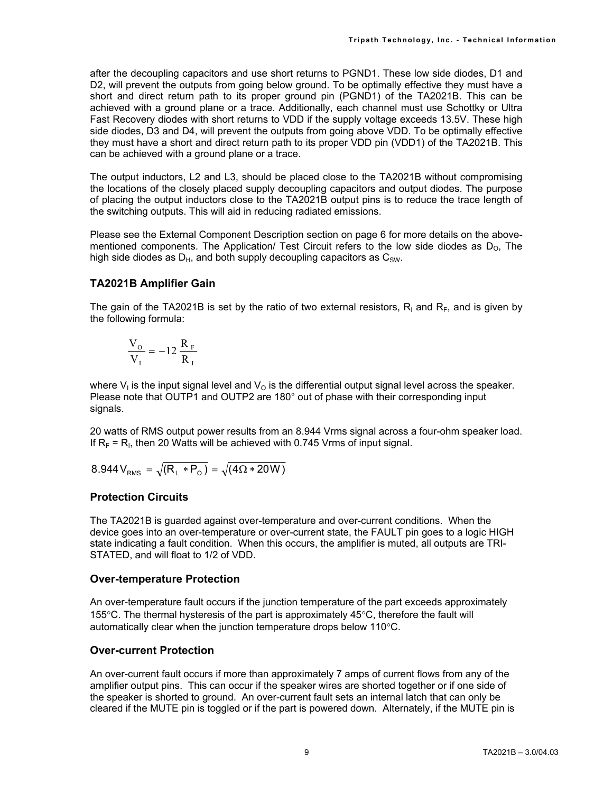after the decoupling capacitors and use short returns to PGND1. These low side diodes, D1 and D2, will prevent the outputs from going below ground. To be optimally effective they must have a short and direct return path to its proper ground pin (PGND1) of the TA2021B. This can be achieved with a ground plane or a trace. Additionally, each channel must use Schottky or Ultra Fast Recovery diodes with short returns to VDD if the supply voltage exceeds 13.5V. These high side diodes, D3 and D4, will prevent the outputs from going above VDD. To be optimally effective they must have a short and direct return path to its proper VDD pin (VDD1) of the TA2021B. This can be achieved with a ground plane or a trace.

The output inductors, L2 and L3, should be placed close to the TA2021B without compromising the locations of the closely placed supply decoupling capacitors and output diodes. The purpose of placing the output inductors close to the TA2021B output pins is to reduce the trace length of the switching outputs. This will aid in reducing radiated emissions.

Please see the External Component Description section on page 6 for more details on the abovementioned components. The Application/ Test Circuit refers to the low side diodes as  $D_0$ . The high side diodes as  $D_H$ , and both supply decoupling capacitors as  $C_{SW}$ .

#### **TA2021B Amplifier Gain**

The gain of the TA2021B is set by the ratio of two external resistors,  $R<sub>1</sub>$  and  $R<sub>F</sub>$ , and is given by the following formula:

$$
\frac{V_{\rm O}}{V_{\rm I}} = -12 \frac{R_{\rm F}}{R_{\rm I}}
$$

where  $V_1$  is the input signal level and  $V_0$  is the differential output signal level across the speaker. Please note that OUTP1 and OUTP2 are 180° out of phase with their corresponding input signals.

20 watts of RMS output power results from an 8.944 Vrms signal across a four-ohm speaker load. If  $R_F = R_I$ , then 20 Watts will be achieved with 0.745 Vrms of input signal.

$$
8.944 V_{RMS} = \sqrt{(R_{L} * P_{O})} = \sqrt{(4\Omega * 20W)}
$$

#### **Protection Circuits**

The TA2021B is guarded against over-temperature and over-current conditions. When the device goes into an over-temperature or over-current state, the FAULT pin goes to a logic HIGH state indicating a fault condition. When this occurs, the amplifier is muted, all outputs are TRI-STATED, and will float to 1/2 of VDD.

#### **Over-temperature Protection**

An over-temperature fault occurs if the junction temperature of the part exceeds approximately 155°C. The thermal hysteresis of the part is approximately 45°C, therefore the fault will automatically clear when the junction temperature drops below 110°C.

## **Over-current Protection**

An over-current fault occurs if more than approximately 7 amps of current flows from any of the amplifier output pins. This can occur if the speaker wires are shorted together or if one side of the speaker is shorted to ground. An over-current fault sets an internal latch that can only be cleared if the MUTE pin is toggled or if the part is powered down. Alternately, if the MUTE pin is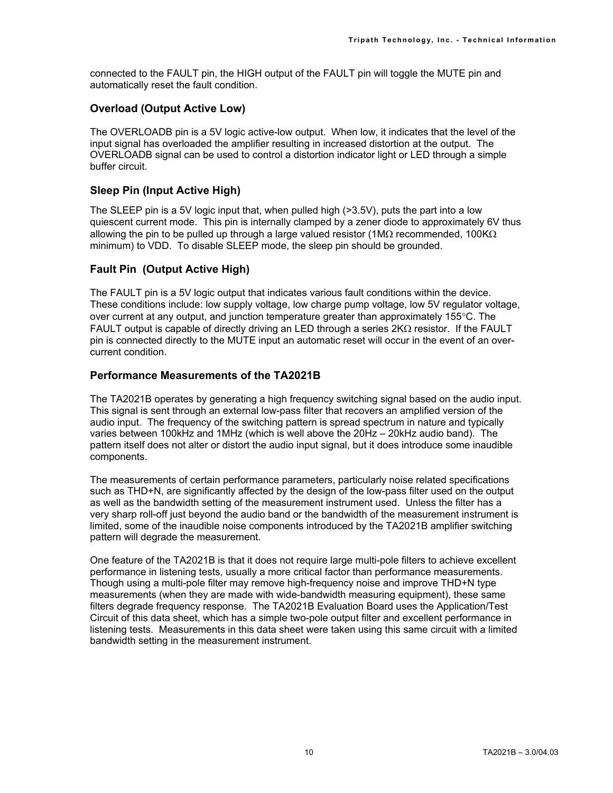connected to the FAULT pin, the HIGH output of the FAULT pin will toggle the MUTE pin and automatically reset the fault condition.

#### **Overload (Output Active Low)**

The OVERLOADB pin is a 5V logic active-low output. When low, it indicates that the level of the input signal has overloaded the amplifier resulting in increased distortion at the output. The OVERLOADB signal can be used to control a distortion indicator light or LED through a simple buffer circuit.

#### **Sleep Pin (Input Active High)**

The SLEEP pin is a 5V logic input that, when pulled high (>3.5V), puts the part into a low quiescent current mode. This pin is internally clamped by a zener diode to approximately 6V thus allowing the pin to be pulled up through a large valued resistor (1M $\Omega$  recommended, 100K $\Omega$ minimum) to VDD. To disable SLEEP mode, the sleep pin should be grounded.

## **Fault Pin (Output Active High)**

The FAULT pin is a 5V logic output that indicates various fault conditions within the device. These conditions include: low supply voltage, low charge pump voltage, low 5V regulator voltage, over current at any output, and junction temperature greater than approximately 155°C. The FAULT output is capable of directly driving an LED through a series  $2K\Omega$  resistor. If the FAULT pin is connected directly to the MUTE input an automatic reset will occur in the event of an overcurrent condition.

#### **Performance Measurements of the TA2021B**

The TA2021B operates by generating a high frequency switching signal based on the audio input. This signal is sent through an external low-pass filter that recovers an amplified version of the audio input. The frequency of the switching pattern is spread spectrum in nature and typically varies between 100kHz and 1MHz (which is well above the 20Hz – 20kHz audio band). The pattern itself does not alter or distort the audio input signal, but it does introduce some inaudible components.

The measurements of certain performance parameters, particularly noise related specifications such as THD+N, are significantly affected by the design of the low-pass filter used on the output as well as the bandwidth setting of the measurement instrument used. Unless the filter has a very sharp roll-off just beyond the audio band or the bandwidth of the measurement instrument is limited, some of the inaudible noise components introduced by the TA2021B amplifier switching pattern will degrade the measurement.

One feature of the TA2021B is that it does not require large multi-pole filters to achieve excellent performance in listening tests, usually a more critical factor than performance measurements. Though using a multi-pole filter may remove high-frequency noise and improve THD+N type measurements (when they are made with wide-bandwidth measuring equipment), these same filters degrade frequency response. The TA2021B Evaluation Board uses the Application/Test Circuit of this data sheet, which has a simple two-pole output filter and excellent performance in listening tests. Measurements in this data sheet were taken using this same circuit with a limited bandwidth setting in the measurement instrument.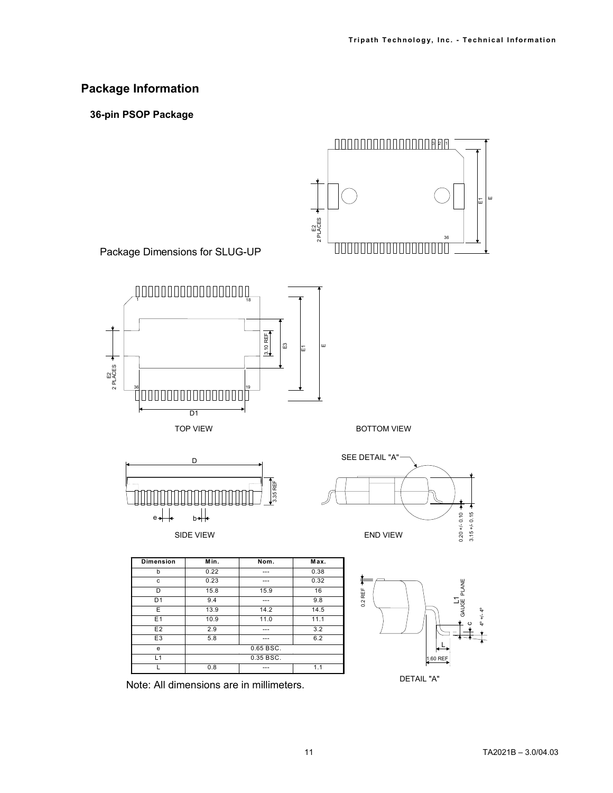# **Package Information**

**36-pin PSOP Package**